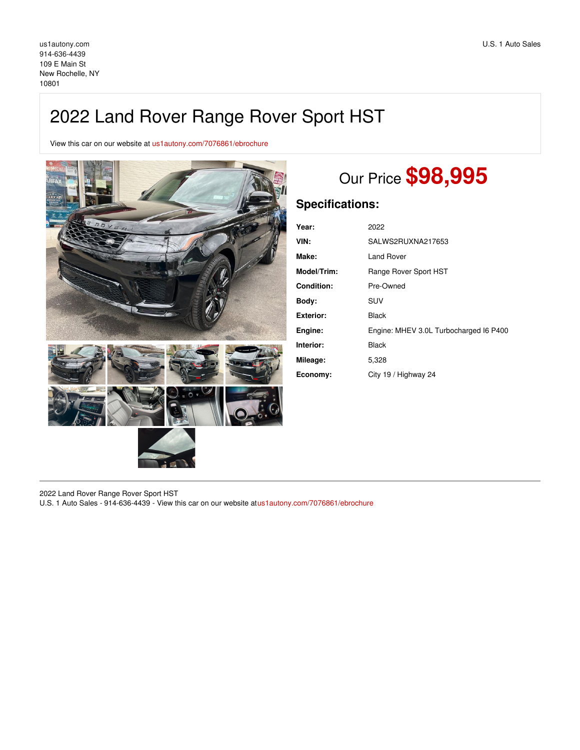## 2022 Land Rover Range Rover Sport HST

View this car on our website at [us1autony.com/7076861/ebrochure](https://us1autony.com/vehicle/7076861/2022-land-rover-range-rover-sport-hst-new-rochelle-ny-10801/7076861/ebrochure)



# Our Price **\$98,995**

## **Specifications:**

| Year:              | 2022                                   |
|--------------------|----------------------------------------|
| VIN:               | SALWS2RUXNA217653                      |
| Make:              | Land Rover                             |
| <b>Model/Trim:</b> | Range Rover Sport HST                  |
| Condition:         | Pre-Owned                              |
| Body:              | SUV                                    |
| Exterior:          | Black                                  |
| Engine:            | Engine: MHEV 3.0L Turbocharged I6 P400 |
| Interior:          | Black                                  |
| Mileage:           | 5,328                                  |
| Economy:           | City 19 / Highway 24                   |

2022 Land Rover Range Rover Sport HST

U.S. 1 Auto Sales - 914-636-4439 - View this car on our website at[us1autony.com/7076861/ebrochure](https://us1autony.com/vehicle/7076861/2022-land-rover-range-rover-sport-hst-new-rochelle-ny-10801/7076861/ebrochure)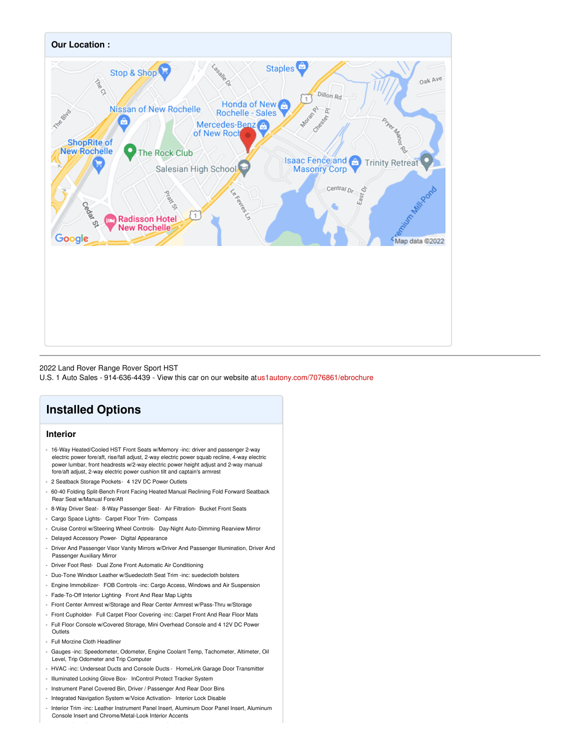

### 2022 Land Rover Range Rover Sport HST

U.S. 1 Auto Sales - 914-636-4439 - View this car on our website at[us1autony.com/7076861/ebrochure](https://us1autony.com/vehicle/7076861/2022-land-rover-range-rover-sport-hst-new-rochelle-ny-10801/7076861/ebrochure)

## **Installed Options**

## **Interior**

- 16-Way Heated/Cooled HST Front Seats w/Memory -inc: driver and passenger 2-way electric power fore/aft, rise/fall adjust, 2-way electric power squab recline, 4-way electric power lumbar, front headrests w/2-way electric power height adjust and 2-way manual fore/aft adjust, 2-way electric power cushion tilt and captain's armrest
- 2 Seatback Storage Pockets- 4 12V DC Power Outlets
- 60-40 Folding Split-Bench Front Facing Heated Manual Reclining Fold Forward Seatback Rear Seat w/Manual Fore/Aft
- 8-Way Driver Seat- 8-Way Passenger Seat- Air Filtration- Bucket Front Seats
- Cargo Space Lights- Carpet Floor Trim- Compass
- Cruise Control w/Steering Wheel Controls- Day-Night Auto-Dimming Rearview Mirror
- Delayed Accessory Power- Digital Appearance
- Driver And Passenger Visor Vanity Mirrors w/Driver And Passenger Illumination, Driver And Passenger Auxiliary Mirror
- Driver Foot Rest- Dual Zone Front Automatic Air Conditioning
- Duo-Tone Windsor Leather w/Suedecloth Seat Trim -inc: suedecloth bolsters
- Engine Immobilizer- FOB Controls -inc: Cargo Access, Windows and Air Suspension
- Fade-To-Off Interior Lighting- Front And Rear Map Lights
- Front Center Armrest w/Storage and Rear Center Armrest w/Pass-Thru w/Storage
- Front Cupholder- Full Carpet Floor Covering -inc: Carpet Front And Rear Floor Mats
- Full Floor Console w/Covered Storage, Mini Overhead Console and 4 12V DC Power **Outlets**
- Full Morzine Cloth Headliner
- Gauges -inc: Speedometer, Odometer, Engine Coolant Temp, Tachometer, Altimeter, Oil Level, Trip Odometer and Trip Computer
- HVAC -inc: Underseat Ducts and Console Ducts HomeLink Garage Door Transmitter
- Illuminated Locking Glove Box- InControl Protect Tracker System
- Instrument Panel Covered Bin, Driver / Passenger And Rear Door Bins
- Integrated Navigation System w/Voice Activation- Interior Lock Disable
- Interior Trim -inc: Leather Instrument Panel Insert, Aluminum Door Panel Insert, Aluminum Console Insert and Chrome/Metal-Look Interior Accents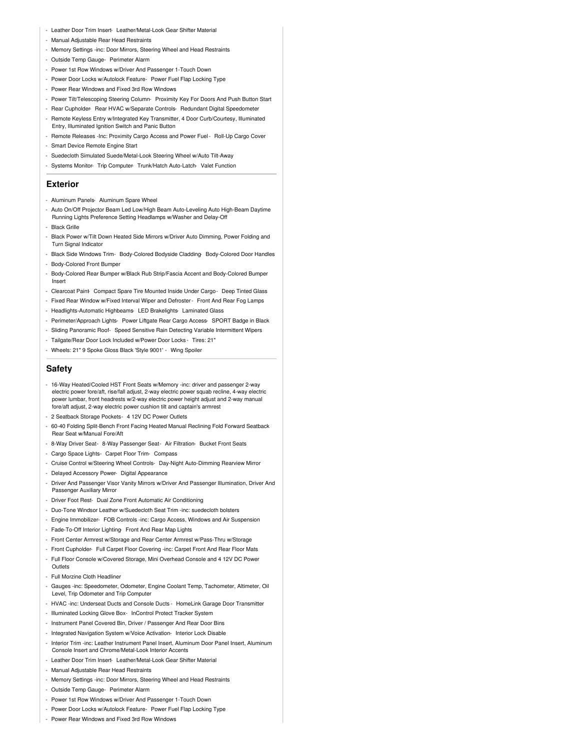- Leather Door Trim Insert- Leather/Metal-Look Gear Shifter Material
- Manual Adjustable Rear Head Restraints
- Memory Settings -inc: Door Mirrors, Steering Wheel and Head Restraints
- Outside Temp Gauge- Perimeter Alarm
- Power 1st Row Windows w/Driver And Passenger 1-Touch Down
- Power Door Locks w/Autolock Feature- Power Fuel Flap Locking Type
- Power Rear Windows and Fixed 3rd Row Windows
- Power Tilt/Telescoping Steering Column- Proximity Key For Doors And Push Button Start
- Rear Cupholder- Rear HVAC w/Separate Controls- Redundant Digital Speedometer
- Remote Keyless Entry w/Integrated Key Transmitter, 4 Door Curb/Courtesy, Illuminated Entry, Illuminated Ignition Switch and Panic Button
- Remote Releases -Inc: Proximity Cargo Access and Power Fuel- Roll-Up Cargo Cover
- Smart Device Remote Engine Start
- Suedecloth Simulated Suede/Metal-Look Steering Wheel w/Auto Tilt-Away
- Systems Monitor- Trip Computer- Trunk/Hatch Auto-Latch- Valet Function

#### **Exterior**

- Aluminum Panels- Aluminum Spare Wheel
- Auto On/Off Projector Beam Led Low/High Beam Auto-Leveling Auto High-Beam Daytime Running Lights Preference Setting Headlamps w/Washer and Delay-Off
- Black Grille
- Black Power w/Tilt Down Heated Side Mirrors w/Driver Auto Dimming, Power Folding and **Turn Signal Indicator**
- Black Side Windows Trim- Body-Colored Bodyside Cladding- Body-Colored Door Handles
- Body-Colored Front Bumper - Body-Colored Rear Bumper w/Black Rub Strip/Fascia Accent and Body-Colored Bumper Insert
- Clearcoat Paint- Compact Spare Tire Mounted Inside Under Cargo- Deep Tinted Glass
- Fixed Rear Window w/Fixed Interval Wiper and Defroster- Front And Rear Fog Lamps
- Headlights-Automatic Highbeams- LED Brakelights- Laminated Glass
- Perimeter/Approach Lights- Power Liftgate Rear Cargo Access- SPORT Badge in Black
- Sliding Panoramic Roof- Speed Sensitive Rain Detecting Variable Intermittent Wipers
- Tailgate/Rear Door Lock Included w/Power Door Locks Tires: 21"
- Wheels: 21" 9 Spoke Gloss Black 'Style 9001' Wing Spoiler

### **Safety**

- 16-Way Heated/Cooled HST Front Seats w/Memory -inc: driver and passenger 2-way electric power fore/aft, rise/fall adjust, 2-way electric power squab recline, 4-way electric power lumbar, front headrests w/2-way electric power height adjust and 2-way manual fore/aft adjust, 2-way electric power cushion tilt and captain's armrest
- 2 Seatback Storage Pockets- 4 12V DC Power Outlets
- 60-40 Folding Split-Bench Front Facing Heated Manual Reclining Fold Forward Seatback Rear Seat w/Manual Fore/Aft
- 8-Way Driver Seat- 8-Way Passenger Seat- Air Filtration- Bucket Front Seats
- Cargo Space Lights- Carpet Floor Trim- Compass
- Cruise Control w/Steering Wheel Controls- Day-Night Auto-Dimming Rearview Mirror
- Delayed Accessory Power- Digital Appearance
- Driver And Passenger Visor Vanity Mirrors w/Driver And Passenger Illumination, Driver And Passenger Auxiliary Mirror
- Driver Foot Rest- Dual Zone Front Automatic Air Conditioning
- Duo-Tone Windsor Leather w/Suedecloth Seat Trim -inc: suedecloth bolsters
- Engine Immobilizer- FOB Controls -inc: Cargo Access, Windows and Air Suspension
- Fade-To-Off Interior Lighting- Front And Rear Map Lights
- Front Center Armrest w/Storage and Rear Center Armrest w/Pass-Thru w/Storage
- Front Cupholder- Full Carpet Floor Covering -inc: Carpet Front And Rear Floor Mats
- Full Floor Console w/Covered Storage, Mini Overhead Console and 4 12V DC Power
- Full Morzine Cloth Headliner

**Outlets** 

- Gauges -inc: Speedometer, Odometer, Engine Coolant Temp, Tachometer, Altimeter, Oil Level, Trip Odometer and Trip Computer
- HVAC -inc: Underseat Ducts and Console Ducts HomeLink Garage Door Transmitter
- Illuminated Locking Glove Box- InControl Protect Tracker System
- Instrument Panel Covered Bin, Driver / Passenger And Rear Door Bins
- Integrated Navigation System w/Voice Activation- Interior Lock Disable
- Interior Trim -inc: Leather Instrument Panel Insert, Aluminum Door Panel Insert, Aluminum Console Insert and Chrome/Metal-Look Interior Accents
- Leather Door Trim Insert- Leather/Metal-Look Gear Shifter Material
- Manual Adjustable Rear Head Restraints
- Memory Settings -inc: Door Mirrors, Steering Wheel and Head Restraints
- Outside Temp Gauge- Perimeter Alarm
- Power 1st Row Windows w/Driver And Passenger 1-Touch Down
- Power Door Locks w/Autolock Feature- Power Fuel Flap Locking Type
- Power Rear Windows and Fixed 3rd Row Windows